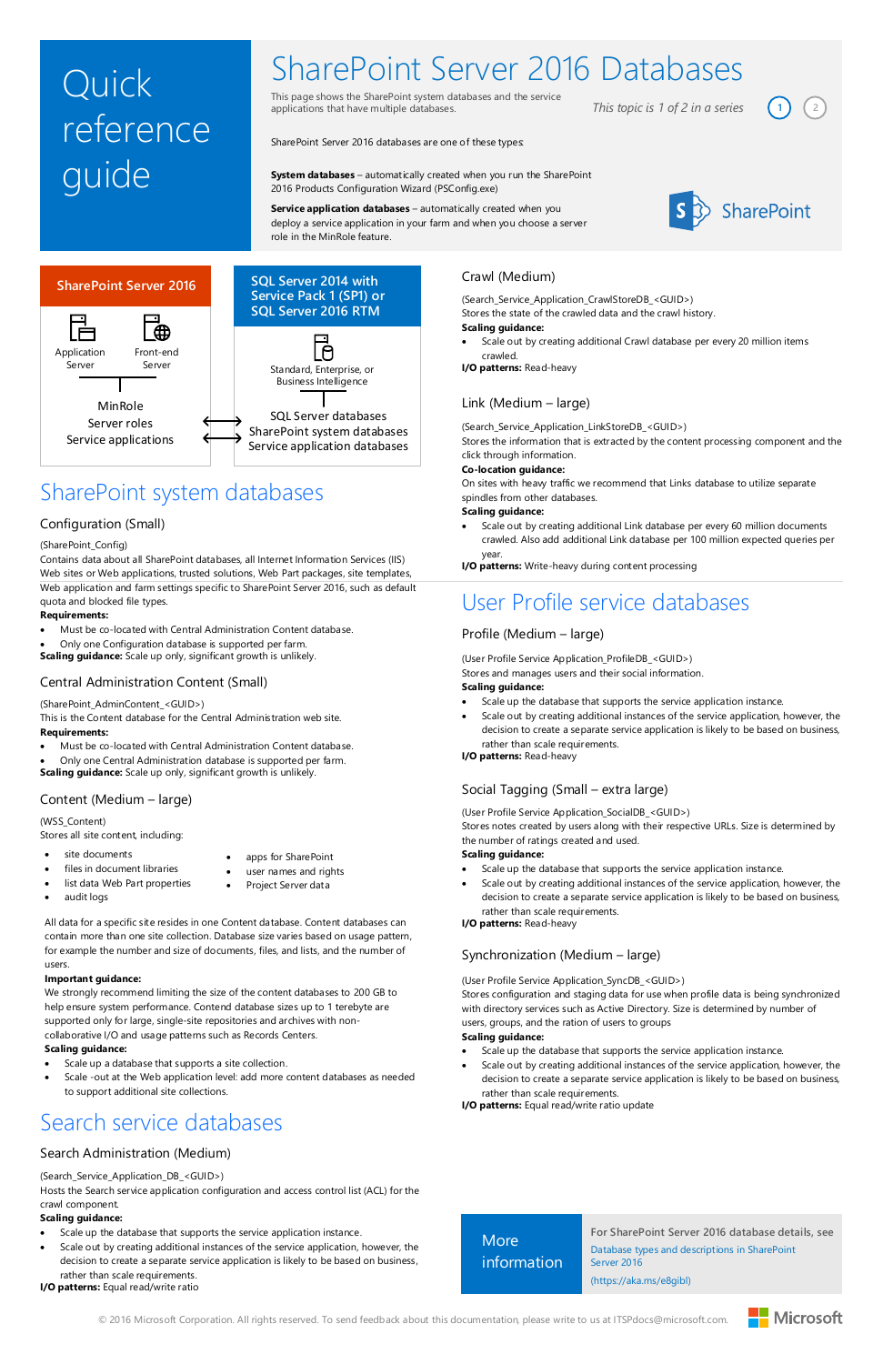© 2016 Microsoft Corporation. All rights reserved. To send feedback about this documentation, please write to us at ITSPdocs@microsoft.com.



# Quick reference guide

# SharePoint Server 2016 Databases

This page shows the SharePoint system databases and the service applications that have multiple databases.

*This topic is 1 of 2 in a series*  $\begin{pmatrix} 1 \end{pmatrix}$   $\begin{pmatrix} 2 \end{pmatrix}$ 



SharePoint Server 2016 databases are one of these types:

**System databases** – automatically created when you run the SharePoint 2016 Products Configuration Wizard (PSConfig.exe)

# LΘ Standard, Enterprise, or Business Intelligence SQL Server databases SharePoint system databases Service application databases

**Service application databases** – automatically created when you deploy a service application in your farm and when you choose a server role in the MinRole feature.



# SharePoint system databases



# **SQL Server 2014 with Service Pack 1 (SP1) or SQL Server 2016 RTM**

# Configuration (Small)

#### (SharePoint\_Config)

Contains data about all SharePoint databases, all Internet Information Services (IIS) Web sites or Web applications, trusted solutions, Web Part packages, site templates, Web application and farm settings specific to SharePoint Server 2016, such as default quota and blocked file types.

#### **Requirements:**

Must be co-located with Central Administration Content database.

Only one Configuration database is supported per farm.

**Scaling guidance:** Scale up only, significant growth is unlikely.

# Central Administration Content (Small)

#### (SharePoint\_AdminContent\_<GUID>)

This is the Content database for the Central Administration web site. **Requirements:**

- Must be co-located with Central Administration Content database.
- Only one Central Administration database is supported per farm. **Scaling guidance:** Scale up only, significant growth is unlikely.

# Crawl (Medium)

(Search\_Service\_Application\_CrawlStoreDB\_<GUID>)

Stores the state of the crawled data and the crawl history.

#### **Scaling guidance:**

 Scale out by creating additional Crawl database per every 20 million items crawled.

**I/O patterns:** Read-heavy

- site documents
	- files in document libraries
- list data Web Part properties
	-
- user names and rights
- audit logs
- Project Server data
- All data for a specific site resides in one Content database. Content databases can contain more than one site collection. Database size varies based on usage pattern, for example the number and size of documents, files, and lists, and the number of

# Link (Medium – large)

(Search\_Service\_Application\_LinkStoreDB\_<GUID>)

Stores the information that is extracted by the content processing component and the click through information.

# **Co-location guidance:**

On sites with heavy traffic we recommend that Links database to utilize separate spindles from other databases.

# **Scaling guidance:**

 Scale out by creating additional Link database per every 60 million documents crawled. Also add additional Link database per 100 million expected queries per year.

**I/O patterns:** Write-heavy during content processing

# Social Tagging (Small – extra large)

(User Profile Service Application\_SocialDB\_<GUID>)

Stores notes created by users along with their respective URLs. Size is determined by the number of ratings created and used.

# **Scaling guidance:**

- Scale up the database that supports the service application instance.
	- Scale out by creating additional instances of the service application, however, the decision to create a separate service application is likely to be based on business, rather than scale requirements.

# **I/O patterns:** Read-heavy

# User Profile service databases

# Profile (Medium – large)

(User Profile Service Application\_ProfileDB\_<GUID>)

| More<br>information | For SharePoint Server 2016 database details, see<br>Database types and descriptions in SharePoint<br>Server 2016 |
|---------------------|------------------------------------------------------------------------------------------------------------------|
|                     | (https://aka.ms/e8gibl)                                                                                          |

Stores and manages users and their social information.

# **Scaling guidance:**

- Scale up the database that supports the service application instance.
- Scale out by creating additional instances of the service application, however, the decision to create a separate service application is likely to be based on business, rather than scale requirements.

**I/O patterns:** Read-heavy

# Content (Medium – large)

# (WSS\_Content)

Stores all site content, including:

apps for SharePoint

users.

# **Important guidance:**

We strongly recommend limiting the size of the content databases to 200 GB to

help ensure system performance. Contend database sizes up to 1 terebyte are supported only for large, single-site repositories and archives with noncollaborative I/O and usage patterns such as Records Centers.

#### **Scaling guidance:**

- Scale up a database that supports a site collection.
- Scale -out at the Web application level: add more content databases as needed to support additional site collections.

# Search service databases

# Search Administration (Medium)

(Search\_Service\_Application\_DB\_<GUID>)

Hosts the Search service application configuration and access control list (ACL) for the crawl component.

#### **Scaling guidance:**

- Scale up the database that supports the service application instance.
- Scale out by creating additional instances of the service application, however, the decision to create a separate service application is likely to be based on business, rather than scale requirements.
- **I/O patterns:** Equal read/write ratio

# Synchronization (Medium – large)

(User Profile Service Application\_SyncDB\_<GUID>)

Stores configuration and staging data for use when profile data is being synchronized with directory services such as Active Directory. Size is determined by number of users, groups, and the ration of users to groups

#### **Scaling guidance:**

- Scale up the database that supports the service application instance.
- Scale out by creating additional instances of the service application, however, the decision to create a separate service application is likely to be based on business, rather than scale requirements.
- **I/O patterns:** Equal read/write ratio update